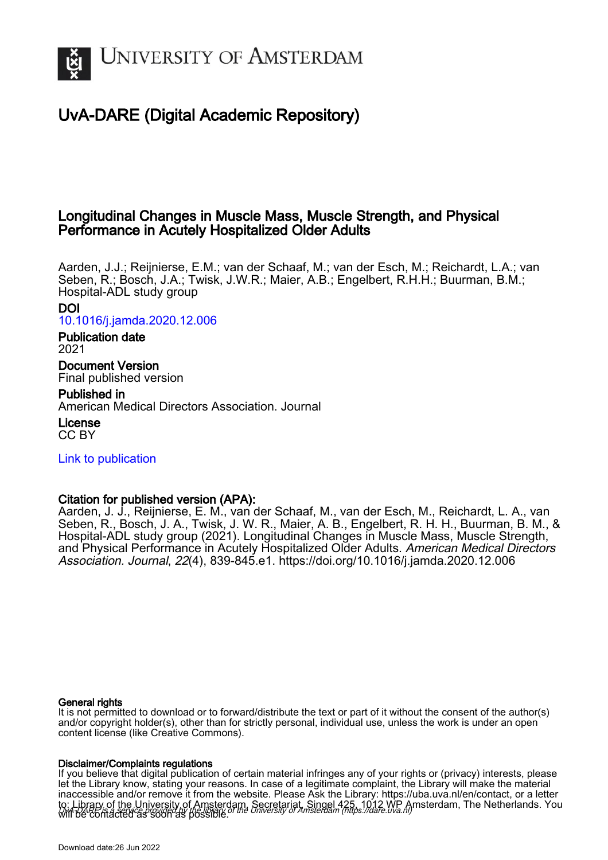

# UvA-DARE (Digital Academic Repository)

## Longitudinal Changes in Muscle Mass, Muscle Strength, and Physical Performance in Acutely Hospitalized Older Adults

Aarden, J.J.; Reijnierse, E.M.; van der Schaaf, M.; van der Esch, M.; Reichardt, L.A.; van Seben, R.; Bosch, J.A.; Twisk, J.W.R.; Maier, A.B.; Engelbert, R.H.H.; Buurman, B.M.; Hospital-ADL study group

## DOI

[10.1016/j.jamda.2020.12.006](https://doi.org/10.1016/j.jamda.2020.12.006)

### Publication date 2021

Document Version Final published version

Published in American Medical Directors Association. Journal

License CC BY

[Link to publication](https://dare.uva.nl/personal/pure/en/publications/longitudinal-changes-in-muscle-mass-muscle-strength-and-physical-performance-in-acutely-hospitalized-older-adults(e47616c1-341e-4c2b-b9cc-faa5dbf6693c).html)

## Citation for published version (APA):

Aarden, J. J., Reijnierse, E. M., van der Schaaf, M., van der Esch, M., Reichardt, L. A., van Seben, R., Bosch, J. A., Twisk, J. W. R., Maier, A. B., Engelbert, R. H. H., Buurman, B. M., & Hospital-ADL study group (2021). Longitudinal Changes in Muscle Mass, Muscle Strength, and Physical Performance in Acutely Hospitalized Older Adults. American Medical Directors Association. Journal, 22(4), 839-845.e1. <https://doi.org/10.1016/j.jamda.2020.12.006>

### General rights

It is not permitted to download or to forward/distribute the text or part of it without the consent of the author(s) and/or copyright holder(s), other than for strictly personal, individual use, unless the work is under an open content license (like Creative Commons).

### Disclaimer/Complaints regulations

UvA-DARE is a service provided by the library of the University of Amsterdam (http*s*://dare.uva.nl) If you believe that digital publication of certain material infringes any of your rights or (privacy) interests, please let the Library know, stating your reasons. In case of a legitimate complaint, the Library will make the material inaccessible and/or remove it from the website. Please Ask the Library: https://uba.uva.nl/en/contact, or a letter to: Library of the University of Amsterdam, Secretariat, Singel 425, 1012 WP Amsterdam, The Netherlands. You will be contacted as soon as possible.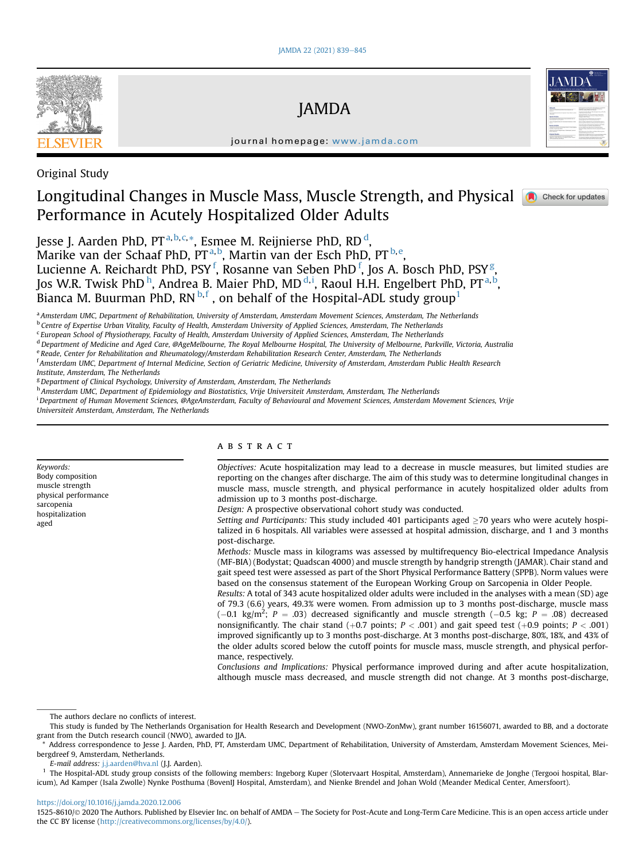

JAMDA



journal homepage: www.jamda.com

Original Study

## Longitudinal Changes in Muscle Mass, Muscle Strength, and Physical **Compution Conducting Coneck** for updates Performance in Acutely Hospitalized Older Adults

Jesse J. Aarden PhD, PT<sup>a,b,c,</sup>\*, Esmee M. Reijnierse PhD, RD <sup>d</sup>,

Marike van der Schaaf PhD, PT<sup>a,b</sup>, Martin van der Esch PhD, PT<sup>b,e</sup>,

Lucienne A. Reichardt PhD, PSY  $^{\rm f}$ , Rosanne van Seben PhD  $^{\rm f}$ , Jos A. Bosch PhD, PSY  $^{\rm g}$ ,

Jos W.R. Twisk PhD  $^{\rm h}$ , Andrea B. Maier PhD, MD  $^{\rm d,i}$ , Raoul H.H. Engelbert PhD, PT  $^{\rm a,b}$ ,

Bianca M. Buurman PhD,  $RN^{b,f}$ , on behalf of the Hospital-ADL study group<sup>1</sup>

a Amsterdam UMC, Department of Rehabilitation, University of Amsterdam, Amsterdam Movement Sciences, Amsterdam, The Netherlands

<sup>b</sup> Centre of Expertise Urban Vitality, Faculty of Health, Amsterdam University of Applied Sciences, Amsterdam, The Netherlands

<sup>c</sup> European School of Physiotherapy, Faculty of Health, Amsterdam University of Applied Sciences, Amsterdam, The Netherlands

<sup>d</sup> Department of Medicine and Aged Care, @AgeMelbourne, The Royal Melbourne Hospital, The University of Melbourne, Parkville, Victoria, Australia

<sup>e</sup> Reade, Center for Rehabilitation and Rheumatology/Amsterdam Rehabilitation Research Center, Amsterdam, The Netherlands <sup>f</sup> Amsterdam UMC, Department of Internal Medicine, Section of Geriatric Medicine, University of Amsterdam, Amsterdam Public Health Research

Institute, Amsterdam, The Netherlands

<sup>g</sup> Department of Clinical Psychology, University of Amsterdam, Amsterdam, The Netherlands

h Amsterdam UMC, Department of Epidemiology and Biostatistics, Vrije Universiteit Amsterdam, Amsterdam, The Netherlands

i Department of Human Movement Sciences, @AgeAmsterdam, Faculty of Behavioural and Movement Sciences, Amsterdam Movement Sciences, Vrije

Universiteit Amsterdam, Amsterdam, The Netherlands

Keywords: Body composition muscle strength physical performance sarcopenia hospitalization aged

#### **ABSTRACT**

Objectives: Acute hospitalization may lead to a decrease in muscle measures, but limited studies are reporting on the changes after discharge. The aim of this study was to determine longitudinal changes in muscle mass, muscle strength, and physical performance in acutely hospitalized older adults from admission up to 3 months post-discharge.

Design: A prospective observational cohort study was conducted.

Setting and Participants: This study included 401 participants aged  $\geq$ 70 years who were acutely hospitalized in 6 hospitals. All variables were assessed at hospital admission, discharge, and 1 and 3 months post-discharge.

Methods: Muscle mass in kilograms was assessed by multifrequency Bio-electrical Impedance Analysis (MF-BIA) (Bodystat; Quadscan 4000) and muscle strength by handgrip strength (JAMAR). Chair stand and gait speed test were assessed as part of the Short Physical Performance Battery (SPPB). Norm values were based on the consensus statement of the European Working Group on Sarcopenia in Older People.

Results: A total of 343 acute hospitalized older adults were included in the analyses with a mean (SD) age of 79.3 (6.6) years, 49.3% were women. From admission up to 3 months post-discharge, muscle mass  $(-0.1 \text{ kg/m}^2; P = .03)$  decreased significantly and muscle strength  $(-0.5 \text{ kg}; P = .08)$  decreased nonsignificantly. The chair stand  $(+0.7 \text{ points}; P < .001)$  and gait speed test  $(+0.9 \text{ points}; P < .001)$ improved significantly up to 3 months post-discharge. At 3 months post-discharge, 80%, 18%, and 43% of the older adults scored below the cutoff points for muscle mass, muscle strength, and physical performance, respectively.

Conclusions and Implications: Physical performance improved during and after acute hospitalization, although muscle mass decreased, and muscle strength did not change. At 3 months post-discharge,

E-mail address: j.j.aarden@hva.nl (J.J. Aarden).

https://doi.org/10.1016/j.jamda.2020.12.006

1525-8610/© 2020 The Authors. Published by Elsevier Inc. on behalf of AMDA - The Society for Post-Acute and Long-Term Care Medicine. This is an open access article under the CC BY license (http://creativecommons.org/licenses/by/4.0/).

The authors declare no conflicts of interest.

This study is funded by The Netherlands Organisation for Health Research and Development (NWO-ZonMw), grant number 16156071, awarded to BB, and a doctorate grant from the Dutch research council (NWO), awarded to JJA.

Address correspondence to Jesse J. Aarden, PhD, PT, Amsterdam UMC, Department of Rehabilitation, University of Amsterdam, Amsterdam Movement Sciences, Meibergdreef 9, Amsterdam, Netherlands.

<sup>&</sup>lt;sup>1</sup> The Hospital-ADL study group consists of the following members: Ingeborg Kuper (Slotervaart Hospital, Amsterdam), Annemarieke de Jonghe (Tergooi hospital, Blaricum), Ad Kamper (Isala Zwolle) Nynke Posthuma (BovenIJ Hospital, Amsterdam), and Nienke Brendel and Johan Wold (Meander Medical Center, Amersfoort).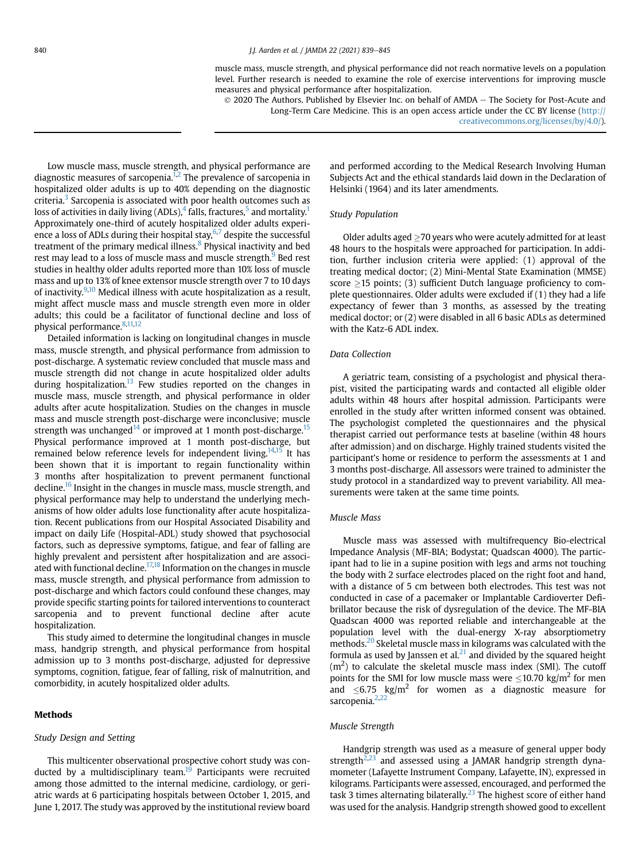muscle mass, muscle strength, and physical performance did not reach normative levels on a population level. Further research is needed to examine the role of exercise interventions for improving muscle measures and physical performance after hospitalization.

 $\odot$  2020 The Authors. Published by Elsevier Inc. on behalf of AMDA - The Society for Post-Acute and Long-Term Care Medicine. This is an open access article under the CC BY license (http:// creativecommons.org/licenses/by/4.0/).

Low muscle mass, muscle strength, and physical performance are diagnostic measures of sarcopenia. $1,2$  The prevalence of sarcopenia in hospitalized older adults is up to 40% depending on the diagnostic criteria. $3$  Sarcopenia is associated with poor health outcomes such as loss of activities in daily living (ADLs), $4$  falls, fractures,<sup>5</sup> and mortality.<sup>1</sup> Approximately one-third of acutely hospitalized older adults experience a loss of ADLs during their hospital stay,  $6,7$  despite the successful treatment of the primary medical illness.<sup>8</sup> Physical inactivity and bed rest may lead to a loss of muscle mass and muscle strength.<sup>9</sup> Bed rest studies in healthy older adults reported more than 10% loss of muscle mass and up to 13% of knee extensor muscle strength over 7 to 10 days of inactivity. $9,10$  Medical illness with acute hospitalization as a result, might affect muscle mass and muscle strength even more in older adults; this could be a facilitator of functional decline and loss of physical performance.<sup>8,11,12</sup>

Detailed information is lacking on longitudinal changes in muscle mass, muscle strength, and physical performance from admission to post-discharge. A systematic review concluded that muscle mass and muscle strength did not change in acute hospitalized older adults during hospitalization.<sup>13</sup> Few studies reported on the changes in muscle mass, muscle strength, and physical performance in older adults after acute hospitalization. Studies on the changes in muscle mass and muscle strength post-discharge were inconclusive; muscle strength was unchanged<sup>14</sup> or improved at 1 month post-discharge.<sup>15</sup> Physical performance improved at 1 month post-discharge, but remained below reference levels for independent living.<sup>14,15</sup> It has been shown that it is important to regain functionality within 3 months after hospitalization to prevent permanent functional decline.<sup>16</sup> Insight in the changes in muscle mass, muscle strength, and physical performance may help to understand the underlying mechanisms of how older adults lose functionality after acute hospitalization. Recent publications from our Hospital Associated Disability and impact on daily Life (Hospital-ADL) study showed that psychosocial factors, such as depressive symptoms, fatigue, and fear of falling are highly prevalent and persistent after hospitalization and are associated with functional decline.<sup>17,18</sup> Information on the changes in muscle mass, muscle strength, and physical performance from admission to post-discharge and which factors could confound these changes, may provide specific starting points for tailored interventions to counteract sarcopenia and to prevent functional decline after acute hospitalization.

This study aimed to determine the longitudinal changes in muscle mass, handgrip strength, and physical performance from hospital admission up to 3 months post-discharge, adjusted for depressive symptoms, cognition, fatigue, fear of falling, risk of malnutrition, and comorbidity, in acutely hospitalized older adults.

#### **Methods**

#### Study Design and Setting

This multicenter observational prospective cohort study was conducted by a multidisciplinary team.<sup>19</sup> Participants were recruited among those admitted to the internal medicine, cardiology, or geriatric wards at 6 participating hospitals between October 1, 2015, and June 1, 2017. The study was approved by the institutional review board and performed according to the Medical Research Involving Human Subjects Act and the ethical standards laid down in the Declaration of Helsinki (1964) and its later amendments.

#### Study Population

Older adults aged  $\geq$  70 years who were acutely admitted for at least 48 hours to the hospitals were approached for participation. In addition, further inclusion criteria were applied: (1) approval of the treating medical doctor; (2) Mini-Mental State Examination (MMSE) score  $\geq$ 15 points; (3) sufficient Dutch language proficiency to complete questionnaires. Older adults were excluded if (1) they had a life expectancy of fewer than 3 months, as assessed by the treating medical doctor; or (2) were disabled in all 6 basic ADLs as determined with the Katz-6 ADL index.

#### Data Collection

A geriatric team, consisting of a psychologist and physical therapist, visited the participating wards and contacted all eligible older adults within 48 hours after hospital admission. Participants were enrolled in the study after written informed consent was obtained. The psychologist completed the questionnaires and the physical therapist carried out performance tests at baseline (within 48 hours after admission) and on discharge. Highly trained students visited the participant's home or residence to perform the assessments at 1 and 3 months post-discharge. All assessors were trained to administer the study protocol in a standardized way to prevent variability. All measurements were taken at the same time points.

#### Muscle Mass

Muscle mass was assessed with multifrequency Bio-electrical Impedance Analysis (MF-BIA; Bodystat; Quadscan 4000). The participant had to lie in a supine position with legs and arms not touching the body with 2 surface electrodes placed on the right foot and hand, with a distance of 5 cm between both electrodes. This test was not conducted in case of a pacemaker or Implantable Cardioverter Defibrillator because the risk of dysregulation of the device. The MF-BIA Quadscan 4000 was reported reliable and interchangeable at the population level with the dual-energy X-ray absorptiometry methods.<sup>20</sup> Skeletal muscle mass in kilograms was calculated with the formula as used by Janssen et al. $^{21}$  and divided by the squared height  $(m<sup>2</sup>)$  to calculate the skeletal muscle mass index (SMI). The cutoff points for the SMI for low muscle mass were  $\leq 10.70$  kg/m<sup>2</sup> for men and  $\leq$ 6.75 kg/m<sup>2</sup> for women as a diagnostic measure for sarcopenia.<sup>2,22</sup>

#### Muscle Strength

Handgrip strength was used as a measure of general upper body strength $2.23$  and assessed using a JAMAR handgrip strength dynamometer (Lafayette Instrument Company, Lafayette, IN), expressed in kilograms. Participants were assessed, encouraged, and performed the task 3 times alternating bilaterally.<sup>23</sup> The highest score of either hand was used for the analysis. Handgrip strength showed good to excellent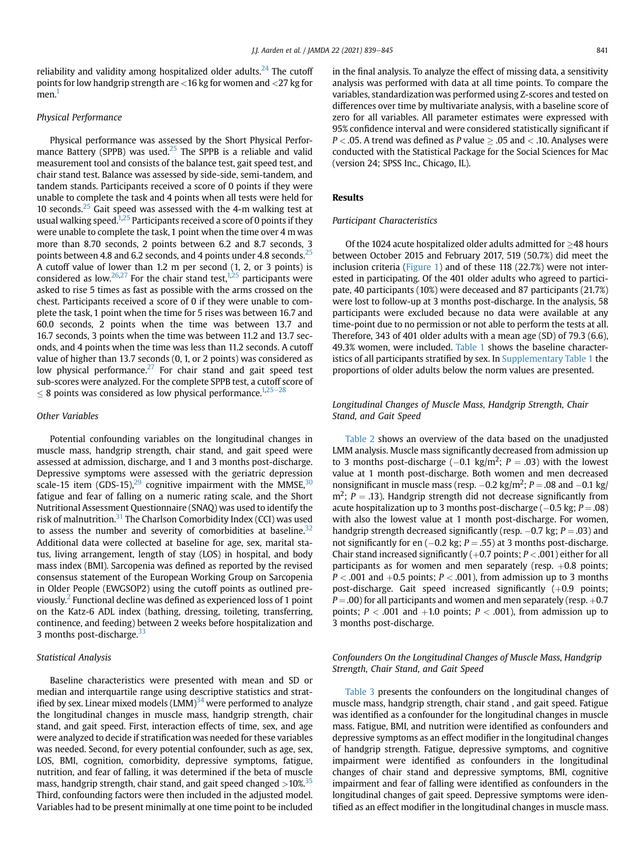reliability and validity among hospitalized older adults.<sup>24</sup> The cutoff points for low handgrip strength are <16 kg for women and <27 kg for men.<sup>1</sup>

#### Physical Performance

Physical performance was assessed by the Short Physical Performance Battery (SPPB) was used.<sup>25</sup> The SPPB is a reliable and valid measurement tool and consists of the balance test, gait speed test, and chair stand test. Balance was assessed by side-side, semi-tandem, and tandem stands. Participants received a score of 0 points if they were unable to complete the task and 4 points when all tests were held for 10 seconds. $25$  Gait speed was assessed with the 4-m walking test at usual walking speed.<sup>1,25</sup> Participants received a score of 0 points if they were unable to complete the task, 1 point when the time over 4 m was more than 8.70 seconds, 2 points between 6.2 and 8.7 seconds, 3 points between 4.8 and 6.2 seconds, and 4 points under 4.8 seconds.<sup>25</sup> A cutoff value of lower than 1.2 m per second (1, 2, or 3 points) is considered as low.<sup>26,27</sup> For the chair stand test,<sup>1,25</sup> participants were asked to rise 5 times as fast as possible with the arms crossed on the chest. Participants received a score of 0 if they were unable to complete the task, 1 point when the time for 5 rises was between 16.7 and 60.0 seconds, 2 points when the time was between 13.7 and 16.7 seconds, 3 points when the time was between 11.2 and 13.7 seconds, and 4 points when the time was less than 11.2 seconds. A cutoff value of higher than 13.7 seconds (0, 1, or 2 points) was considered as low physical performance.<sup>27</sup> For chair stand and gait speed test sub-scores were analyzed. For the complete SPPB test, a cutoff score of  $8$  points was considered as low physical performance.<sup>1,25–28</sup>

#### Other Variables

Potential confounding variables on the longitudinal changes in muscle mass, handgrip strength, chair stand, and gait speed were assessed at admission, discharge, and 1 and 3 months post-discharge. Depressive symptoms were assessed with the geriatric depression scale-15 item (GDS-15), $^{29}$  cognitive impairment with the MMSE, $^{30}$ fatigue and fear of falling on a numeric rating scale, and the Short Nutritional Assessment Questionnaire (SNAQ) was used to identify the risk of malnutrition. $31$  The Charlson Comorbidity Index (CCI) was used to assess the number and severity of comorbidities at baseline. $32$ Additional data were collected at baseline for age, sex, marital status, living arrangement, length of stay (LOS) in hospital, and body mass index (BMI). Sarcopenia was defined as reported by the revised consensus statement of the European Working Group on Sarcopenia in Older People (EWGSOP2) using the cutoff points as outlined previously.2 Functional decline was defined as experienced loss of 1 point on the Katz-6 ADL index (bathing, dressing, toileting, transferring, continence, and feeding) between 2 weeks before hospitalization and 3 months post-discharge.<sup>33</sup>

#### Statistical Analysis

Baseline characteristics were presented with mean and SD or median and interquartile range using descriptive statistics and stratified by sex. Linear mixed models  $(LMM)^{34}$  were performed to analyze the longitudinal changes in muscle mass, handgrip strength, chair stand, and gait speed. First, interaction effects of time, sex, and age were analyzed to decide if stratification was needed for these variables was needed. Second, for every potential confounder, such as age, sex, LOS, BMI, cognition, comorbidity, depressive symptoms, fatigue, nutrition, and fear of falling, it was determined if the beta of muscle mass, handgrip strength, chair stand, and gait speed changed >10%.<sup>35</sup> Third, confounding factors were then included in the adjusted model. Variables had to be present minimally at one time point to be included in the final analysis. To analyze the effect of missing data, a sensitivity analysis was performed with data at all time points. To compare the variables, standardization was performed using Z-scores and tested on differences over time by multivariate analysis, with a baseline score of zero for all variables. All parameter estimates were expressed with 95% confidence interval and were considered statistically significant if  $P <$  05. A trend was defined as P value  $>$  05 and  $<$  10. Analyses were conducted with the Statistical Package for the Social Sciences for Mac (version 24; SPSS Inc., Chicago, IL).

#### Results

#### Participant Characteristics

Of the 1024 acute hospitalized older adults admitted for  $>48$  hours between October 2015 and February 2017, 519 (50.7%) did meet the inclusion criteria (Figure 1) and of these 118 (22.7%) were not interested in participating. Of the 401 older adults who agreed to participate, 40 participants (10%) were deceased and 87 participants (21.7%) were lost to follow-up at 3 months post-discharge. In the analysis, 58 participants were excluded because no data were available at any time-point due to no permission or not able to perform the tests at all. Therefore, 343 of 401 older adults with a mean age (SD) of 79.3 (6.6), 49.3% women, were included. Table 1 shows the baseline characteristics of all participants stratified by sex. In Supplementary Table 1 the proportions of older adults below the norm values are presented.

#### Longitudinal Changes of Muscle Mass, Handgrip Strength, Chair Stand, and Gait Speed

Table 2 shows an overview of the data based on the unadjusted LMM analysis. Muscle mass significantly decreased from admission up to 3 months post-discharge  $(-0.1 \text{ kg/m}^2; P = .03)$  with the lowest value at 1 month post-discharge. Both women and men decreased nonsignificant in muscle mass (resp.  $-0.2$  kg/m<sup>2</sup>; P = .08 and  $-0.1$  kg/  $m^2$ ;  $P = .13$ ). Handgrip strength did not decrease significantly from acute hospitalization up to 3 months post-discharge  $(-0.5 \text{ kg}; P = .08)$ with also the lowest value at 1 month post-discharge. For women, handgrip strength decreased significantly (resp.  $-0.7$  kg;  $P = .03$ ) and not significantly for en  $(-0.2 \text{ kg}; P = .55)$  at 3 months post-discharge. Chair stand increased significantly  $(+0.7$  points;  $P < .001$ ) either for all participants as for women and men separately (resp.  $+0.8$  points;  $P < .001$  and  $+0.5$  points;  $P < .001$ ), from admission up to 3 months post-discharge. Gait speed increased significantly  $(+0.9$  points;  $P = .00$ ) for all participants and women and men separately (resp.  $+0.7$ points;  $P < .001$  and  $+1.0$  points;  $P < .001$ ), from admission up to 3 months post-discharge.

#### Confounders On the Longitudinal Changes of Muscle Mass, Handgrip Strength, Chair Stand, and Gait Speed

Table 3 presents the confounders on the longitudinal changes of muscle mass, handgrip strength, chair stand , and gait speed. Fatigue was identified as a confounder for the longitudinal changes in muscle mass. Fatigue, BMI, and nutrition were identified as confounders and depressive symptoms as an effect modifier in the longitudinal changes of handgrip strength. Fatigue, depressive symptoms, and cognitive impairment were identified as confounders in the longitudinal changes of chair stand and depressive symptoms, BMI, cognitive impairment and fear of falling were identified as confounders in the longitudinal changes of gait speed. Depressive symptoms were identified as an effect modifier in the longitudinal changes in muscle mass.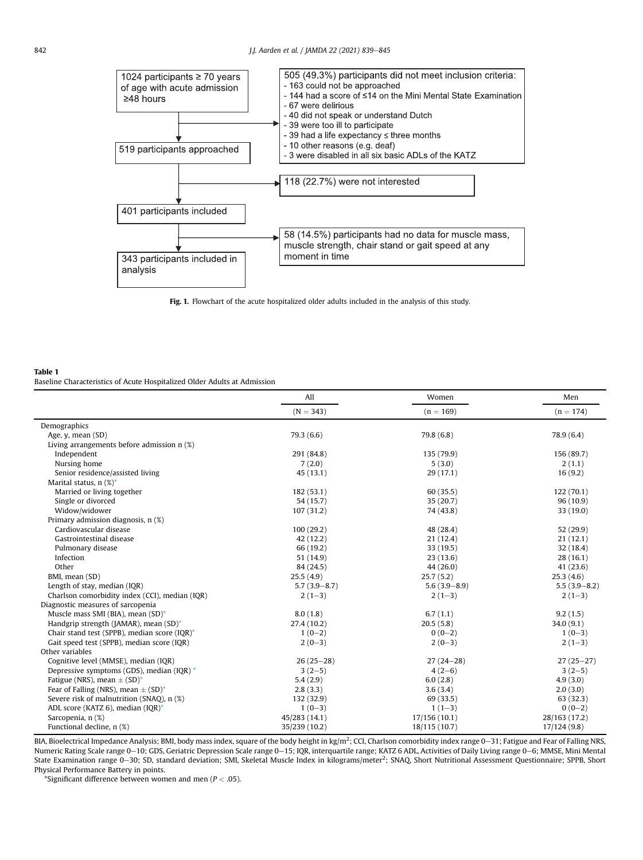



#### Table 1

Baseline Characteristics of Acute Hospitalized Older Adults at Admission

|                                                     | All              | Women            | Men              |
|-----------------------------------------------------|------------------|------------------|------------------|
|                                                     | $(N = 343)$      | $(n = 169)$      | $(n = 174)$      |
| Demographics                                        |                  |                  |                  |
| Age, y, mean (SD)                                   | 79.3(6.6)        | 79.8 (6.8)       | 78.9 (6.4)       |
| Living arrangements before admission n (%)          |                  |                  |                  |
| Independent                                         | 291 (84.8)       | 135 (79.9)       | 156 (89.7)       |
| Nursing home                                        | 7(2.0)           | 5(3.0)           | 2(1.1)           |
| Senior residence/assisted living                    | 45(13.1)         | 29(17.1)         | 16(9.2)          |
| Marital status, $n$ (%)*                            |                  |                  |                  |
| Married or living together                          | 182 (53.1)       | 60(35.5)         | 122(70.1)        |
| Single or divorced                                  | 54 (15.7)        | 35(20.7)         | 96(10.9)         |
| Widow/widower                                       | 107(31.2)        | 74 (43.8)        | 33(19.0)         |
| Primary admission diagnosis, n (%)                  |                  |                  |                  |
| Cardiovascular disease                              | 100(29.2)        | 48 (28.4)        | 52 (29.9)        |
| Gastrointestinal disease                            | 42(12.2)         | 21(12.4)         | 21(12.1)         |
| Pulmonary disease                                   | 66 (19.2)        | 33 (19.5)        | 32 (18.4)        |
| Infection                                           | 51 (14.9)        | 23(13.6)         | 28(16.1)         |
| Other                                               | 84 (24.5)        | 44 (26.0)        | 41 (23.6)        |
| BMI, mean (SD)                                      | 25.5(4.9)        | 25.7(5.2)        | 25.3(4.6)        |
| Length of stay, median (IQR)                        | $5.7(3.9 - 8.7)$ | $5.6(3.9 - 8.9)$ | $5.5(3.9 - 8.2)$ |
| Charlson comorbidity index (CCI), median (IQR)      | $2(1-3)$         | $2(1-3)$         | $2(1-3)$         |
| Diagnostic measures of sarcopenia                   |                  |                  |                  |
| Muscle mass SMI (BIA), mean (SD)*                   | 8.0(1.8)         | 6.7(1.1)         | 9.2(1.5)         |
| Handgrip strength (JAMAR), mean (SD)*               | 27.4 (10.2)      | 20.5(5.8)        | 34.0(9.1)        |
| Chair stand test (SPPB), median score (IQR)*        | $1(0-2)$         | $0(0-2)$         | $1(0-3)$         |
| Gait speed test (SPPB), median score (IQR)          | $2(0-3)$         | $2(0-3)$         | $2(1-3)$         |
| Other variables                                     |                  |                  |                  |
| Cognitive level (MMSE), median (IQR)                | $26(25-28)$      | $27(24-28)$      | $27(25-27)$      |
| Depressive symptoms (GDS), median (IQR) *           | $3(2-5)$         | $4(2-6)$         | $3(2-5)$         |
| Fatigue (NRS), mean $\pm$ (SD) <sup>*</sup>         | 5.4(2.9)         | 6.0(2.8)         | 4.9(3.0)         |
| Fear of Falling (NRS), mean $\pm$ (SD) <sup>*</sup> | 2.8(3.3)         | 3.6(3.4)         | 2.0(3.0)         |
| Severe risk of malnutrition (SNAQ), n (%)           | 132 (32.9)       | 69 (33.5)        | 63 (32.3)        |
| ADL score (KATZ 6), median (IQR)*                   | $1(0-3)$         | $1(1-3)$         | $0(0-2)$         |
| Sarcopenia, n (%)                                   | 45/283 (14.1)    | 17/156 (10.1)    | 28/163 (17.2)    |
| Functional decline, n (%)                           | 35/239 (10.2)    | 18/115 (10.7)    | 17/124(9.8)      |

BIA, Bioelectrical Impedance Analysis; BMI, body mass index, square of the body height in kg/m<sup>2</sup>; CCI, Charlson comorbidity index range 0–31; Fatigue and Fear of Falling NRS, Numeric Rating Scale range 0-10; GDS, Geriatric Depression Scale range 0-15; IQR, interquartile range; KATZ 6 ADL, Activities of Daily Living range 0-6; MMSE, Mini Mental State Examination range 0–30; SD, standard deviation; SMI, Skeletal Muscle Index in kilograms/meter<sup>2</sup>; SNAQ, Short Nutritional Assessment Questionnaire; SPPB, Short Physical Performance Battery in points.

\*Significant difference between women and men ( $P < .05$ ).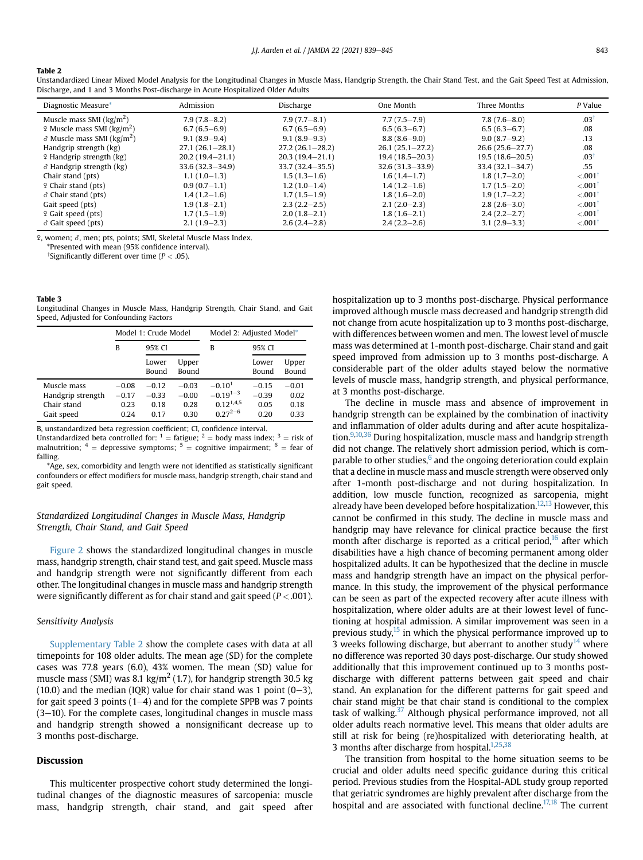#### Table 2

| Admission           | Discharge           | One Month           | Three Months        | P Value              |
|---------------------|---------------------|---------------------|---------------------|----------------------|
| $7.9(7.8-8.2)$      | $7.9(7.7-8.1)$      | $7.7(7.5 - 7.9)$    | $7.8(7.6 - 8.0)$    | .03 <sup>†</sup>     |
| $6.7(6.5 - 6.9)$    | $6.7(6.5 - 6.9)$    | $6.5(6.3 - 6.7)$    | $6.5(6.3 - 6.7)$    | .08                  |
| $9.1(8.9 - 9.4)$    | $9.1(8.9 - 9.3)$    | $8.8(8.6 - 9.0)$    | $9.0(8.7-9.2)$      | .13                  |
| $27.1(26.1-28.1)$   | $27.2(26.1 - 28.2)$ | $26.1(25.1-27.2)$   | $26.6(25.6 - 27.7)$ | .08                  |
| $20.2(19.4 - 21.1)$ | $20.3(19.4 - 21.1)$ | $19.4(18.5 - 20.3)$ | $19.5(18.6 - 20.5)$ | .03 <sup>†</sup>     |
| $33.6(32.3 - 34.9)$ | $33.7(32.4 - 35.5)$ | $32.6(31.3 - 33.9)$ | $33.4(32.1 - 34.7)$ | .55                  |
| $1.1(1.0-1.3)$      | $1.5(1.3-1.6)$      | $1.6(1.4-1.7)$      | $1.8(1.7-2.0)$      | < 0.01               |
| $0.9(0.7-1.1)$      | $1.2(1.0-1.4)$      | $1.4(1.2-1.6)$      | $1.7(1.5-2.0)$      | < 0.01               |
| $1.4(1.2-1.6)$      | $1.7(1.5-1.9)$      | $1.8(1.6-2.0)$      | $1.9(1.7-2.2)$      | $< 001$ <sup>†</sup> |
| $1.9(1.8-2.1)$      | $2.3(2.2-2.5)$      | $2.1(2.0-2.3)$      | $2.8(2.6-3.0)$      | < 0.01               |
| $1.7(1.5-1.9)$      | $2.0(1.8-2.1)$      | $1.8(1.6-2.1)$      | $2.4(2.2-2.7)$      | $< 001$ <sup>†</sup> |
| $2.1(1.9-2.3)$      | $2.6(2.4-2.8)$      | $2.4(2.2-2.6)$      | $3.1(2.9-3.3)$      | < 0.001              |
|                     |                     |                     |                     |                      |

Unstandardized Linear Mixed Model Analysis for the Longitudinal Changes in Muscle Mass, Handgrip Strength, the Chair Stand Test, and the Gait Speed Test at Admission, Discharge, and 1 and 3 Months Post-discharge in Acute Hospitalized Older Adults

 $\,$  9, women;  $\delta$ , men; pts, points; SMI, Skeletal Muscle Mass Index.

\*Presented with mean (95% confidence interval).

<sup>†</sup>Significantly different over time ( $P < .05$ ).

#### Table 3

Longitudinal Changes in Muscle Mass, Handgrip Strength, Chair Stand, and Gait Speed, Adjusted for Confounding Factors

|                   | Model 1: Crude Model |                |                | Model 2: Adjusted Model* |                |                |
|-------------------|----------------------|----------------|----------------|--------------------------|----------------|----------------|
|                   | В                    | 95% CI         |                | в                        | 95% CI         |                |
|                   |                      | Lower<br>Bound | Upper<br>Bound |                          | Lower<br>Bound | Upper<br>Bound |
| Muscle mass       | $-0.08$              | $-0.12$        | $-0.03$        | $-0.101$                 | $-0.15$        | $-0.01$        |
| Handgrip strength | $-0.17$              | $-0.33$        | $-0.00$        | $-0.19^{1-3}$            | $-0.39$        | 0.02           |
| Chair stand       | 0.23                 | 0.18           | 0.28           | $0.12^{1,4,5}$           | 0.05           | 0.18           |
| Gait speed        | 0.24                 | 0.17           | 0.30           | $0.27^{2-6}$             | 0.20           | 0.33           |

B, unstandardized beta regression coefficient; CI, confidence interval.

Unstandardized beta controlled for:  $1 =$  fatigue;  $2 =$  body mass index;  $3 =$  risk of malnutrition;  $4 =$  depressive symptoms;  $5 =$  cognitive impairment;  $6 =$  fear of falling.

\*Age, sex, comorbidity and length were not identified as statistically significant confounders or effect modifiers for muscle mass, handgrip strength, chair stand and gait speed.

#### Standardized Longitudinal Changes in Muscle Mass, Handgrip Strength, Chair Stand, and Gait Speed

Figure 2 shows the standardized longitudinal changes in muscle mass, handgrip strength, chair stand test, and gait speed. Muscle mass and handgrip strength were not significantly different from each other. The longitudinal changes in muscle mass and handgrip strength were significantly different as for chair stand and gait speed ( $P < .001$ ).

#### Sensitivity Analysis

Supplementary Table 2 show the complete cases with data at all timepoints for 108 older adults. The mean age (SD) for the complete cases was 77.8 years (6.0), 43% women. The mean (SD) value for muscle mass (SMI) was 8.1 kg/m<sup>2</sup> (1.7), for handgrip strength 30.5 kg  $(10.0)$  and the median (IQR) value for chair stand was 1 point  $(0-3)$ , for gait speed 3 points  $(1-4)$  and for the complete SPPB was 7 points  $(3-10)$ . For the complete cases, longitudinal changes in muscle mass and handgrip strength showed a nonsignificant decrease up to 3 months post-discharge.

#### Discussion

This multicenter prospective cohort study determined the longitudinal changes of the diagnostic measures of sarcopenia: muscle mass, handgrip strength, chair stand, and gait speed after hospitalization up to 3 months post-discharge. Physical performance improved although muscle mass decreased and handgrip strength did not change from acute hospitalization up to 3 months post-discharge, with differences between women and men. The lowest level of muscle mass was determined at 1-month post-discharge. Chair stand and gait speed improved from admission up to 3 months post-discharge. A considerable part of the older adults stayed below the normative levels of muscle mass, handgrip strength, and physical performance, at 3 months post-discharge.

The decline in muscle mass and absence of improvement in handgrip strength can be explained by the combination of inactivity and inflammation of older adults during and after acute hospitalization.<sup>9,10,36</sup> During hospitalization, muscle mass and handgrip strength did not change. The relatively short admission period, which is comparable to other studies, $6 \text{ and the ongoing determination could explain}$ that a decline in muscle mass and muscle strength were observed only after 1-month post-discharge and not during hospitalization. In addition, low muscle function, recognized as sarcopenia, might already have been developed before hospitalization.<sup>12,13</sup> However, this cannot be confirmed in this study. The decline in muscle mass and handgrip may have relevance for clinical practice because the first month after discharge is reported as a critical period, $16$  after which disabilities have a high chance of becoming permanent among older hospitalized adults. It can be hypothesized that the decline in muscle mass and handgrip strength have an impact on the physical performance. In this study, the improvement of the physical performance can be seen as part of the expected recovery after acute illness with hospitalization, where older adults are at their lowest level of functioning at hospital admission. A similar improvement was seen in a previous study, $15$  in which the physical performance improved up to 3 weeks following discharge, but aberrant to another study<sup>14</sup> where no difference was reported 30 days post-discharge. Our study showed additionally that this improvement continued up to 3 months postdischarge with different patterns between gait speed and chair stand. An explanation for the different patterns for gait speed and chair stand might be that chair stand is conditional to the complex task of walking. $37$  Although physical performance improved, not all older adults reach normative level. This means that older adults are still at risk for being (re)hospitalized with deteriorating health, at 3 months after discharge from hospital. $1,25,38$ 

The transition from hospital to the home situation seems to be crucial and older adults need specific guidance during this critical period. Previous studies from the Hospital-ADL study group reported that geriatric syndromes are highly prevalent after discharge from the hospital and are associated with functional decline. $17,18$  The current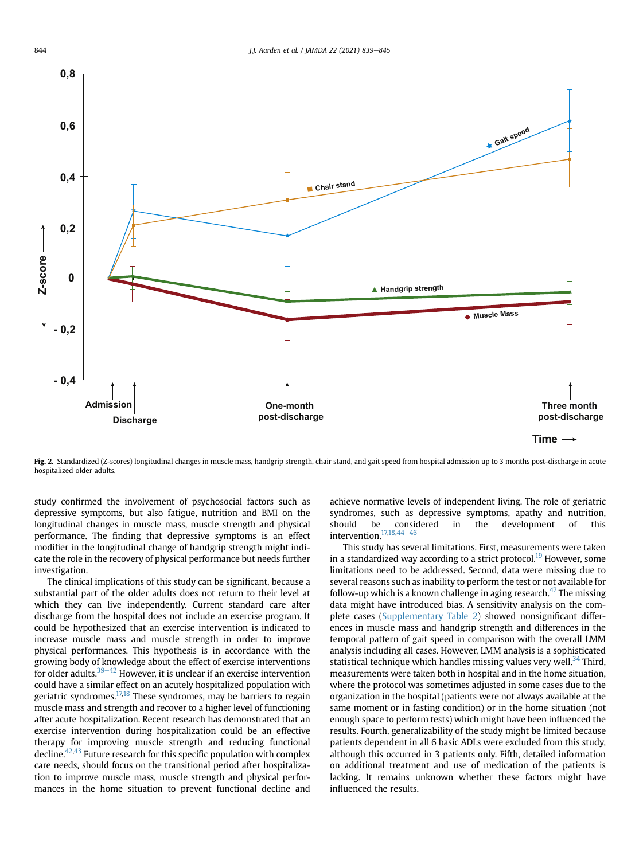

Fig. 2. Standardized (Z-scores) longitudinal changes in muscle mass, handgrip strength, chair stand, and gait speed from hospital admission up to 3 months post-discharge in acute hospitalized older adults.

study confirmed the involvement of psychosocial factors such as depressive symptoms, but also fatigue, nutrition and BMI on the longitudinal changes in muscle mass, muscle strength and physical performance. The finding that depressive symptoms is an effect modifier in the longitudinal change of handgrip strength might indicate the role in the recovery of physical performance but needs further investigation.

The clinical implications of this study can be significant, because a substantial part of the older adults does not return to their level at which they can live independently. Current standard care after discharge from the hospital does not include an exercise program. It could be hypothesized that an exercise intervention is indicated to increase muscle mass and muscle strength in order to improve physical performances. This hypothesis is in accordance with the growing body of knowledge about the effect of exercise interventions for older adults.<sup>39–42</sup> However, it is unclear if an exercise intervention could have a similar effect on an acutely hospitalized population with geriatric syndromes.<sup>17,18</sup> These syndromes, may be barriers to regain muscle mass and strength and recover to a higher level of functioning after acute hospitalization. Recent research has demonstrated that an exercise intervention during hospitalization could be an effective therapy for improving muscle strength and reducing functional decline.<sup> $42,43$ </sup> Future research for this specific population with complex care needs, should focus on the transitional period after hospitalization to improve muscle mass, muscle strength and physical performances in the home situation to prevent functional decline and

achieve normative levels of independent living. The role of geriatric syndromes, such as depressive symptoms, apathy and nutrition, should be considered in the development of this intervention. $17,18,44-46$ 

This study has several limitations. First, measurements were taken in a standardized way according to a strict protocol.<sup>19</sup> However, some limitations need to be addressed. Second, data were missing due to several reasons such as inability to perform the test or not available for follow-up which is a known challenge in aging research.<sup>47</sup> The missing data might have introduced bias. A sensitivity analysis on the complete cases (Supplementary Table 2) showed nonsignificant differences in muscle mass and handgrip strength and differences in the temporal pattern of gait speed in comparison with the overall LMM analysis including all cases. However, LMM analysis is a sophisticated statistical technique which handles missing values very well.<sup>34</sup> Third, measurements were taken both in hospital and in the home situation, where the protocol was sometimes adjusted in some cases due to the organization in the hospital (patients were not always available at the same moment or in fasting condition) or in the home situation (not enough space to perform tests) which might have been influenced the results. Fourth, generalizability of the study might be limited because patients dependent in all 6 basic ADLs were excluded from this study, although this occurred in 3 patients only. Fifth, detailed information on additional treatment and use of medication of the patients is lacking. It remains unknown whether these factors might have influenced the results.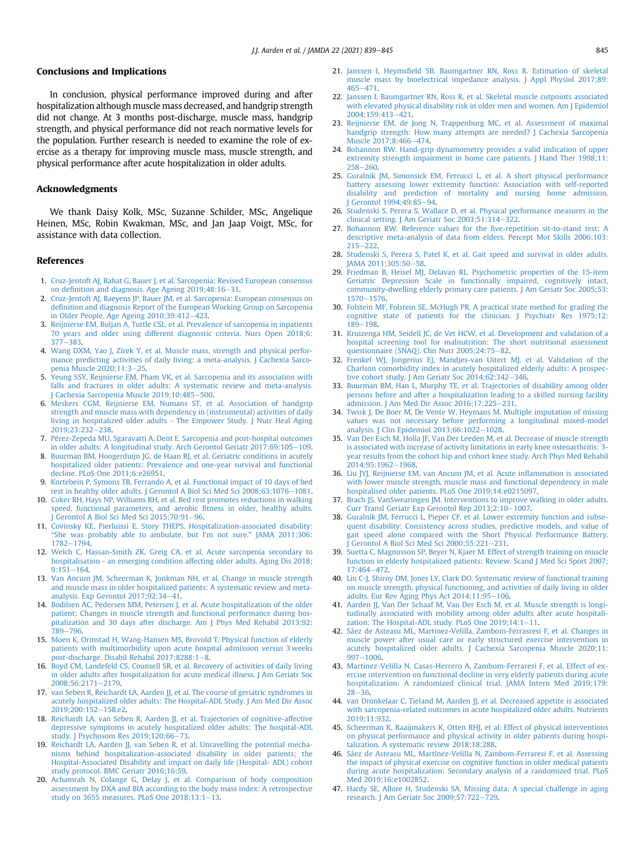#### Conclusions and Implications

In conclusion, physical performance improved during and after hospitalization although muscle mass decreased, and handgrip strength did not change. At 3 months post-discharge, muscle mass, handgrip strength, and physical performance did not reach normative levels for the population. Further research is needed to examine the role of exercise as a therapy for improving muscle mass, muscle strength, and physical performance after acute hospitalization in older adults.

#### Acknowledgments

We thank Daisy Kolk, MSc, Suzanne Schilder, MSc, Angelique Heinen, MSc, Robin Kwakman, MSc, and Jan Jaap Voigt, MSc, for assistance with data collection.

#### References

- 1. Cruz-Jentoft AJ, Bahat G, Bauer J, et al. Sarcopenia: Revised European consensus on definition and diagnosis. Age Ageing  $2019;48:16-31$ .
- 2. Cruz-Jentoft AJ, Baeyens JP, Bauer JM, et al. Sarcopenia: European consensus on definition and diagnosis Report of the European Working Group on Sarcopenia in Older People. Age Ageing  $2010;39:412-423$ .
- 3. Reijnierse EM, Buljan A, Tuttle CSL, et al. Prevalence of sarcopenia in inpatients 70 years and older using different diagnostic criteria. Nurs Open 2018;6: 377e383.
- 4. Wang DXM, Yao J, Zirek Y, et al. Muscle mass, strength and physical performance predicting activities of daily living: a meta-analysis. J Cachexia Sarcopenia Muscle 2020;11:3-25.
- 5. Yeung SSY, Reijnierse EM, Pham VK, et al. Sarcopenia and its association with falls and fractures in older adults: A systematic review and meta-analysis. J Cachexia Sarcopenia Muscle 2019;10:485-500.
- 6. Meskers CGM, Reijnierse EM, Numans ST, et al. Association of handgrip strength and muscle mass with dependency in (instrumental) activities of daily living in hospitalized older adults - The Empower Study. J Nutr Heal Aging 2019:23:232-238.
- 7. Pérez-Zepeda MU, Sgaravatti A, Dent E. Sarcopenia and post-hospital outcomes in older adults: A longitudinal study. Arch Gerontol Geriatr 2017;69:105-109.
- 8. Buurman BM, Hoogerduijn JG, de Haan RJ, et al. Geriatric conditions in acutely hospitalized older patients: Prevalence and one-year survival and functional decline. PLoS One 2011;6:e26951.
- 9. Kortebein P, Symons TB, Ferrando A, et al. Functional impact of 10 days of bed rest in healthy older adults. J Gerontol A Biol Sci Med Sci 2008;63:1076-1081.
- 10. Coker RH, Hays NP, Williams RH, et al. Bed rest promotes reductions in walking speed, functional parameters, and aerobic fitness in older, healthy adults. I Gerontol A Biol Sci Med Sci 2015:70:91-96.
- 11. Covinsky KE, Pierluissi E, Story THEPS. Hospitalization-associated disability: "She was probably able to ambulate, but I'm not sure." JAMA 2011;306: 1782-1794
- 12. Welch C, Hassan-Smith ZK, Greig CA, et al. Acute sarcopenia secondary to hospitalisation - an emerging condition affecting older adults. Aging Dis 2018;  $9:151 - 164.$
- 13. Van Ancum JM, Scheerman K, Jonkman NH, et al. Change in muscle strength and muscle mass in older hospitalized patients: A systematic review and metaanalysis. Exp Gerontol  $2017;92:34-41$ .
- 14. Bodilsen AC, Pedersen MM, Petersen J, et al. Acute hospitalization of the older patient: Changes in muscle strength and functional performance during hospitalization and 30 days after discharge. Am J Phys Med Rehabil 2013;92: 789-796.
- 15. Moen K, Ormstad H, Wang-Hansen MS, Brovold T. Physical function of elderly patients with multimorbidity upon acute hospital admission versus 3 weeks post-discharge. Disabil Rehabil 2017:8288:1-8.
- 16. Boyd CM, Landefeld CS, Counsell SR, et al. Recovery of activities of daily living in older adults after hospitalization for acute medical illness. J Am Geriatr Soc 2008:56:2171-2179.
- 17. van Seben R, Reichardt LA, Aarden JJ, et al. The course of geriatric syndromes in acutely hospitalized older adults: The Hospital-ADL Study. J Am Med Dir Assoc 2019:200:152-158.e2.
- 18. Reichardt LA, van Seben R, Aarden JJ, et al. Trajectories of cognitive-affective depressive symptoms in acutely hospitalized older adults: The hospital-ADL study. J Psychosom Res 2019;120:66-73.
- 19. Reichardt LA, Aarden JJ, van Seben R, et al. Unravelling the potential mechanisms behind hospitalization-associated disability in older patients; the Hospital-Associated Disability and impact on daily life (Hospital- ADL) cohort study protocol. BMC Geriatr 2016;16:59.
- 20. Achamrah N, Colange G, Delay J, et al. Comparison of body composition assessment by DXA and BIA according to the body mass index: A retrospective study on 3655 measures. PLoS One  $2018;13:1-13$ .
- 21. Janssen I, Heymsfield SB, Baumgartner RN, Ross R. Estimation of skeletal muscle mass by bioelectrical impedance analysis. J Appl Physiol 2017;89: 465e471.
- 22. Janssen I, Baumgartner RN, Ross R, et al. Skeletal muscle cutpoints associated with elevated physical disability risk in older men and women. Am J Epidemiol 2004;159:413e421.
- 23. Reijnierse EM, de Jong N, Trappenburg MC, et al. Assessment of maximal handgrip strength: How many attempts are needed? J Cachexia Sarcopenia Muscle 2017;8:466-474.
- 24. Bohannon RW. Hand-grip dynamometry provides a valid indication of upper extremity strength impairment in home care patients. I Hand Ther 1998;11: 258-260.
- 25. Guralnik JM, Simonsick EM, Ferrucci L, et al. A short physical performance battery assessing lower extremity function: Association with self-reported disability and prediction of mortality and nursing home admission. Gerontol 1994;49:85-94.
- 26. Studenski S, Perera S, Wallace D, et al. Physical performance measures in the clinical setting. J Am Geriatr Soc 2003;51:314-322.
- 27. Bohannon RW. Reference values for the five-repetition sit-to-stand test: A descriptive meta-analysis of data from elders. Percept Mot Skills 2006;103:  $215 - 222$
- 28. Studenski S, Perera S, Patel K, et al. Gait speed and survival in older adults. JAMA 2011;305:50-58.
- 29. Friedman B, Heisel MJ, Delavan RL. Psychometric properties of the 15-item Geriatric Depression Scale in functionally impaired, cognitively intact, community-dwelling elderly primary care patients. J Am Geriatr Soc 2005;53: 1570-1576.
- 30. Folstein MF, Folstein SE, McHugh PR. A practical state method for grading the cognitive state of patients for the clinician. J Psychiatr Res 1975;12:  $189 - 198$
- 31. Kruizenga HM, Seidell JC, de Vet HCW, et al. Development and validation of a hospital screening tool for malnutrition: The short nutritional assessment questionnaire (SNAQ). Clin Nutr 2005;24:75-82.
- 32. Frenkel WJ, Jongerius EJ, Mandjes-van Uitert MJ, et al. Validation of the Charlson comorbidity index in acutely hospitalized elderly adults: A prospective cohort study. J Am Geriatr Soc 2014;62:342-346.
- 33. Buurman BM, Han L, Murphy TE, et al. Trajectories of disability among older persons before and after a hospitalization leading to a skilled nursing facility admission. J Am Med Dir Assoc 2016;17:225-231.
- 34. Twisk J, De Boer M, De Vente W, Heymans M. Multiple imputation of missing values was not necessary before performing a longitudinal mixed-model analysis. J Clin Epidemiol 2013;66:1022-1028.
- 35. Van Der Esch M, Holla JF, Van Der Leeden M, et al. Decrease of muscle strength is associated with increase of activity limitations in early knee osteoarthritis: 3 year results from the cohort hip and cohort knee study. Arch Phys Med Rehabil 2014;95:1962-1968.
- 36. Liu JYJ, Reijnierse EM, van Ancum JM, et al. Acute inflammation is associated with lower muscle strength, muscle mass and functional dependency in male hospitalised older patients. PLoS One 2019;14:e0215097.
- 37. Brach JS, VanSwearingen JM. Interventions to improve walking in older adults. Curr Transl Geriatr Exp Gerontol Rep 2013;2:10-1007.
- 38. Guralnik JM, Ferrucci L, Pieper CF, et al. Lower extremity function and subsequent disability: Consistency across studies, predictive models, and value of gait speed alone compared with the Short Physical Performance Battery.  $I$  Gerontol A Biol Sci Med Sci 2000:55:221-231.
- 39. Suetta C, Magnusson SP, Beyer N, Kjaer M. Effect of strength training on muscle function in elderly hospitalized patients: Review. Scand J Med Sci Sport 2007; 17:464-472.
- 40. Liu C-J, Shiroy DM, Jones LY, Clark DO. Systematic review of functional training on muscle strength, physical functioning, and activities of daily living in older adults. Eur Rev Aging Phys Act 2014;11:95-106.
- 41. Aarden JJ, Van Der Schaaf M, Van Der Esch M, et al. Muscle strength is longitudinally associated with mobility among older adults after acute hospitalization: The Hospital-ADL study. PLoS One  $2019;14:1-11$ .
- 42. Sáez de Asteasu ML, Martinez-Velilla, Zambom-Ferrasresi F, et al. Changes in muscle power after usual care or early structured exercise intervention in acutely hospitalized older adults. J Cachexia Sarcopenia Muscle 2020;11:  $997 - 1006.$
- 43. Martinez-Velilla N, Casas-Herrero A, Zambom-Ferraresi F, et al. Effect of exercise intervention on functional decline in very elderly patients during acute hospitalization: A randomized clinical trial. JAMA Intern Med 2019;179:  $28 - 36.$
- 44. van Dronkelaar C, Tieland M, Aarden JJ, et al. Decreased appetite is associated with sarcopenia-related outcomes in acute hospitalized older adults. Nutrients 2019;11:932.
- 45. Scheerman K, Raaijmakers K, Otten RHJ, et al. Effect of physical interventions on physical performance and physical activity in older patients during hospitalization. A systematic review 2018;18:288.
- 46. Sáez de Asteasu ML, Martínez-Velilla N, Zambom-Ferraresi F, et al. Assessing the impact of physical exercise on cognitive function in older medical patients during acute hospitalization: Secondary analysis of a randomized trial. PLoS Med 2019;16:e1002852.
- 47. Hardy SE, Allore H, Studenski SA. Missing data: A special challenge in aging research. J Am Geriatr Soc 2009;57:722-729.